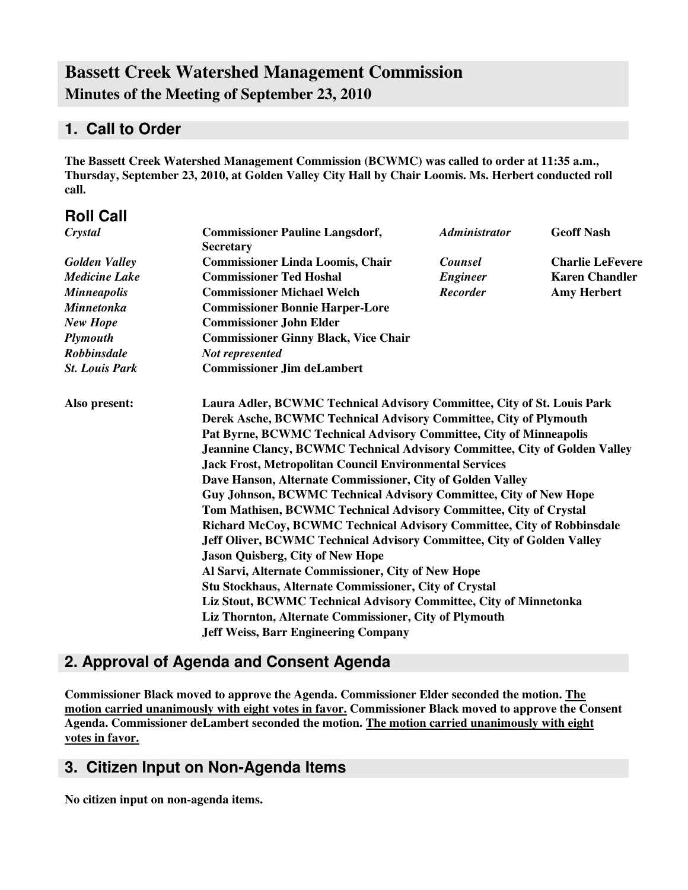# **Bassett Creek Watershed Management Commission Minutes of the Meeting of September 23, 2010**

### **1. Call to Order**

**The Bassett Creek Watershed Management Commission (BCWMC) was called to order at 11:35 a.m., Thursday, September 23, 2010, at Golden Valley City Hall by Chair Loomis. Ms. Herbert conducted roll call.**

| <b>Roll Call</b>      |                                                                                                                                              |                      |                         |  |
|-----------------------|----------------------------------------------------------------------------------------------------------------------------------------------|----------------------|-------------------------|--|
| Crystal               | <b>Commissioner Pauline Langsdorf,</b><br><b>Secretary</b>                                                                                   | <b>Administrator</b> | <b>Geoff Nash</b>       |  |
| <b>Golden Valley</b>  | <b>Commissioner Linda Loomis, Chair</b>                                                                                                      | Counsel              | <b>Charlie LeFevere</b> |  |
| <b>Medicine Lake</b>  | <b>Commissioner Ted Hoshal</b>                                                                                                               | <b>Engineer</b>      | <b>Karen Chandler</b>   |  |
| <b>Minneapolis</b>    | <b>Commissioner Michael Welch</b>                                                                                                            | <b>Recorder</b>      | <b>Amy Herbert</b>      |  |
| <b>Minnetonka</b>     | <b>Commissioner Bonnie Harper-Lore</b>                                                                                                       |                      |                         |  |
| <b>New Hope</b>       | <b>Commissioner John Elder</b>                                                                                                               |                      |                         |  |
| <b>Plymouth</b>       | <b>Commissioner Ginny Black, Vice Chair</b>                                                                                                  |                      |                         |  |
| <b>Robbinsdale</b>    | Not represented                                                                                                                              |                      |                         |  |
| <b>St. Louis Park</b> | <b>Commissioner Jim deLambert</b>                                                                                                            |                      |                         |  |
| Also present:         | Laura Adler, BCWMC Technical Advisory Committee, City of St. Louis Park<br>Derek Asche, BCWMC Technical Advisory Committee, City of Plymouth |                      |                         |  |
|                       | Pat Byrne, BCWMC Technical Advisory Committee, City of Minneapolis                                                                           |                      |                         |  |
|                       | <b>Jeannine Clancy, BCWMC Technical Advisory Committee, City of Golden Valley</b>                                                            |                      |                         |  |
|                       | <b>Jack Frost, Metropolitan Council Environmental Services</b>                                                                               |                      |                         |  |
|                       | Dave Hanson, Alternate Commissioner, City of Golden Valley                                                                                   |                      |                         |  |
|                       | Guy Johnson, BCWMC Technical Advisory Committee, City of New Hope                                                                            |                      |                         |  |
|                       | Tom Mathisen, BCWMC Technical Advisory Committee, City of Crystal                                                                            |                      |                         |  |
|                       | Richard McCoy, BCWMC Technical Advisory Committee, City of Robbinsdale                                                                       |                      |                         |  |
|                       | Jeff Oliver, BCWMC Technical Advisory Committee, City of Golden Valley                                                                       |                      |                         |  |
|                       | <b>Jason Quisberg, City of New Hope</b>                                                                                                      |                      |                         |  |
|                       | Al Sarvi, Alternate Commissioner, City of New Hope                                                                                           |                      |                         |  |
|                       | <b>Stu Stockhaus, Alternate Commissioner, City of Crystal</b>                                                                                |                      |                         |  |
|                       | Liz Stout, BCWMC Technical Advisory Committee, City of Minnetonka                                                                            |                      |                         |  |
|                       | Liz Thornton, Alternate Commissioner, City of Plymouth                                                                                       |                      |                         |  |
|                       | <b>Jeff Weiss, Barr Engineering Company</b>                                                                                                  |                      |                         |  |
|                       |                                                                                                                                              |                      |                         |  |

## **2. Approval of Agenda and Consent Agenda**

**Commissioner Black moved to approve the Agenda. Commissioner Elder seconded the motion. The motion carried unanimously with eight votes in favor. Commissioner Black moved to approve the Consent Agenda. Commissioner deLambert seconded the motion. The motion carried unanimously with eight votes in favor.**

### **3. Citizen Input on Non-Agenda Items**

**No citizen input on non-agenda items.**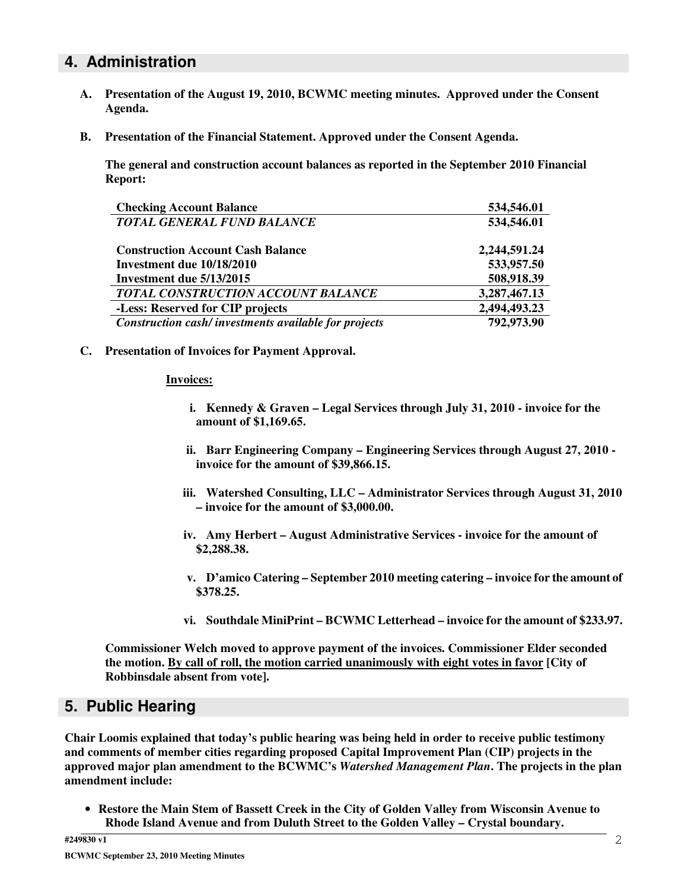### **4. Administration**

- **A. Presentation of the August 19, 2010, BCWMC meeting minutes. Approved under the Consent Agenda.**
- **B. Presentation of the Financial Statement. Approved under the Consent Agenda.**

**The general and construction account balances as reported in the September 2010 Financial Report:**

| <b>Checking Account Balance</b>                      | 534,546.01   |
|------------------------------------------------------|--------------|
| <b>TOTAL GENERAL FUND BALANCE</b>                    | 534,546.01   |
| <b>Construction Account Cash Balance</b>             | 2,244,591.24 |
| Investment due 10/18/2010                            | 533,957.50   |
| Investment due 5/13/2015                             | 508,918.39   |
| <b>TOTAL CONSTRUCTION ACCOUNT BALANCE</b>            | 3,287,467.13 |
| -Less: Reserved for CIP projects                     | 2,494,493.23 |
| Construction cash/investments available for projects | 792,973.90   |

**C. Presentation of Invoices for Payment Approval.**

#### **Invoices:**

- **i. Kennedy & Graven – Legal Services through July 31, 2010 - invoice for the amount of \$1,169.65.**
- **ii. Barr Engineering Company – Engineering Services through August 27, 2010 invoice for the amount of \$39,866.15.**
- **iii. Watershed Consulting, LLC – Administrator Services through August 31, 2010 – invoice for the amount of \$3,000.00.**
- **iv. Amy Herbert – August Administrative Services - invoice for the amount of \$2,288.38.**
- **v. D'amico Catering – September 2010 meeting catering – invoice for the amount of \$378.25.**
- **vi. Southdale MiniPrint – BCWMC Letterhead – invoice for the amount of \$233.97.**

**Commissioner Welch moved to approve payment of the invoices. Commissioner Elder seconded the motion. By call of roll, the motion carried unanimously with eight votes in favor [City of Robbinsdale absent from vote].**

### **5. Public Hearing**

**Chair Loomis explained that today's public hearing was being held in order to receive public testimony and comments of member cities regarding proposed Capital Improvement Plan (CIP) projects in the approved major plan amendment to the BCWMC's** *Watershed Management Plan***. The projects in the plan amendment include:**

• **Restore the Main Stem of Bassett Creek in the City of Golden Valley from Wisconsin Avenue to Rhode Island Avenue and from Duluth Street to the Golden Valley – Crystal boundary.**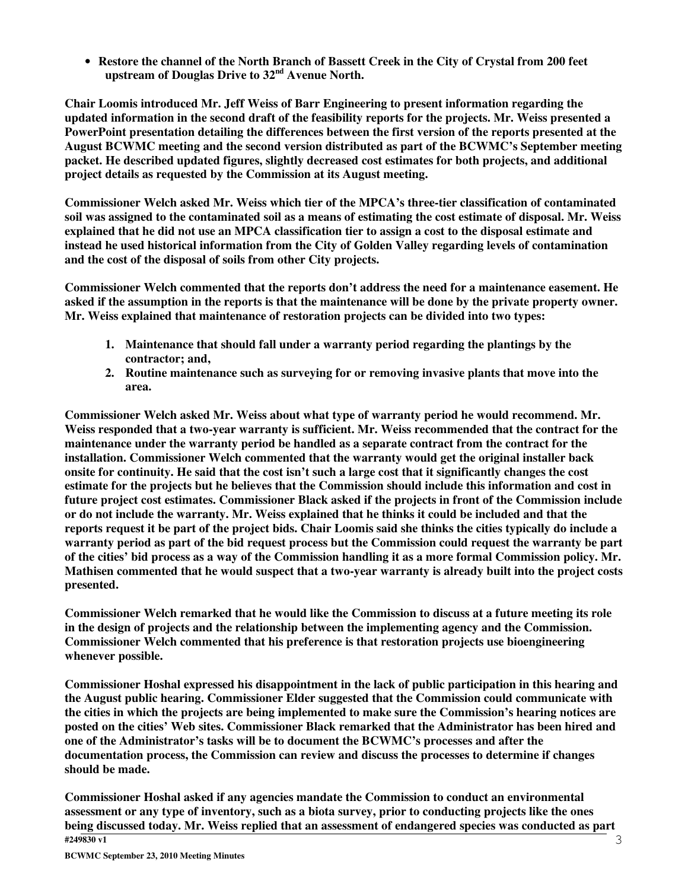• **Restore the channel of the North Branch of Bassett Creek in the City of Crystal from 200 feet upstream of Douglas Drive to 32 nd Avenue North.**

**Chair Loomis introduced Mr. Jeff Weiss of Barr Engineering to present information regarding the** updated information in the second draft of the feasibility reports for the projects. Mr. Weiss presented a **PowerPoint presentation detailing the differences between the first version of the reports presented at the August BCWMC meeting and the second version distributed as part of the BCWMC's September meeting packet. He described updated figures, slightly decreased cost estimates for both projects, and additional project details as requested by the Commission at its August meeting.**

**Commissioner Welch asked Mr. Weiss which tier of the MPCA's three-tier classification of contaminated** soil was assigned to the contaminated soil as a means of estimating the cost estimate of disposal. Mr. Weiss explained that he did not use an MPCA classification tier to assign a cost to the disposal estimate and **instead he used historical information from the City of Golden Valley regarding levels of contamination and the cost of the disposal of soils from other City projects.**

**Commissioner Welch commented that the reports don't address the need for a maintenance easement. He** asked if the assumption in the reports is that the maintenance will be done by the private property owner. **Mr. Weiss explained that maintenance of restoration projects can be divided into two types:**

- **1. Maintenance that should fall under a warranty period regarding the plantings by the contractor; and,**
- **2. Routine maintenance such as surveying for or removing invasive plants that move into the area.**

**Commissioner Welch asked Mr. Weiss about what type of warranty period he would recommend. Mr. Weiss responded that a two-year warranty is sufficient. Mr. Weiss recommended that the contract for the maintenance under the warranty period be handled as a separate contract from the contract for the installation. Commissioner Welch commented that the warranty would get the original installer back** onsite for continuity. He said that the cost isn't such a large cost that it significantly changes the cost **estimate for the projects but he believes that the Commission should include this information and cost in future project cost estimates. Commissioner Black asked if the projects in front of the Commission include** or do not include the warranty. Mr. Weiss explained that he thinks it could be included and that the reports request it be part of the project bids. Chair Loomis said she thinks the cities typically do include a warranty period as part of the bid request process but the Commission could request the warranty be part of the cities' bid process as a way of the Commission handling it as a more formal Commission policy. Mr. **Mathisen commented that he would suspect that a two-year warranty is already built into the project costs presented.**

**Commissioner Welch remarked that he would like the Commission to discuss at a future meeting its role in the design of projects and the relationship between the implementing agency and the Commission. Commissioner Welch commented that his preference is that restoration projects use bioengineering whenever possible.**

**Commissioner Hoshal expressed his disappointment in the lack of public participation in this hearing and the August public hearing. Commissioner Elder suggested that the Commission could communicate with the cities in which the projects are being implemented to make sure the Commission's hearing notices are posted on the cities' Web sites. Commissioner Black remarked that the Administrator has been hired and one of the Administrator's tasks will be to document the BCWMC's processes and after the documentation process, the Commission can review and discuss the processes to determine if changes should be made.**

**#249830 v1 Commissioner Hoshal asked if any agencies mandate the Commission to conduct an environmental** assessment or any type of inventory, such as a biota survey, prior to conducting projects like the ones **being discussed today. Mr. Weiss replied that an assessment of endangered species was conducted as part**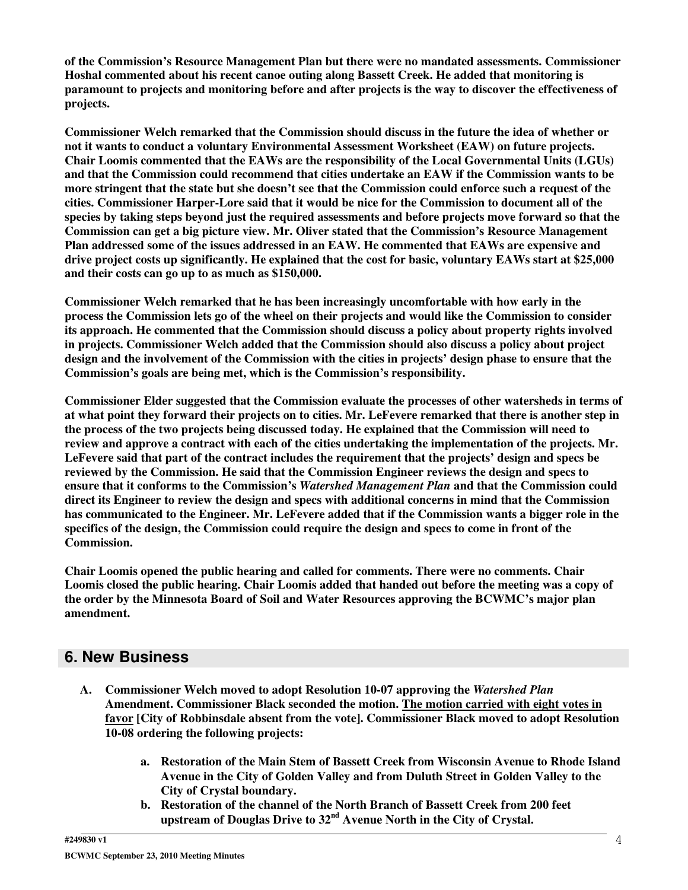**of the Commission's Resource Management Plan but there were no mandated assessments. Commissioner Hoshal commented about his recent canoe outing along Bassett Creek. He added that monitoring is** paramount to projects and monitoring before and after projects is the way to discover the effectiveness of **projects.**

**Commissioner Welch remarked that the Commission should discuss in the future the idea of whether or not it wants to conduct a voluntary Environmental Assessment Worksheet (EAW) on future projects. Chair Loomis commented that the EAWs are the responsibility of the Local Governmental Units (LGUs) and that the Commission could recommend that cities undertake an EAW if the Commission wants to be** more stringent that the state but she doesn't see that the Commission could enforce such a request of the **cities. Commissioner Harper-Lore said that it would be nice for the Commission to document all of the species by taking steps beyond just the required assessments and before projects move forward so that the Commission can get a big picture view. Mr. Oliver stated that the Commission's Resource Management Plan addressed some of the issues addressed in an EAW. He commented that EAWs are expensive and** drive project costs up significantly. He explained that the cost for basic, voluntary EAWs start at \$25,000 **and their costs can go up to as much as \$150,000.**

**Commissioner Welch remarked that he has been increasingly uncomfortable with how early in the** process the Commission lets go of the wheel on their projects and would like the Commission to consider **its approach. He commented that the Commission should discuss a policy about property rights involved in projects. Commissioner Welch added that the Commission should also discuss a policy about project** design and the involvement of the Commission with the cities in projects' design phase to ensure that the **Commission's goals are being met, which is the Commission's responsibility.**

**Commissioner Elder suggested that the Commission evaluate the processes of other watersheds in terms of** at what point they forward their projects on to cities. Mr. LeFevere remarked that there is another step in **the process of the two projects being discussed today. He explained that the Commission will need to review and approve a contract with each of the cities undertaking the implementation of the projects. Mr. LeFevere said that part of the contract includes the requirement that the projects' design and specs be reviewed by the Commission. He said that the Commission Engineer reviews the design and specs to ensure that it conforms to the Commission's** *Watershed Management Plan* **and that the Commission could direct its Engineer to review the design and specs with additional concerns in mind that the Commission** has communicated to the Engineer. Mr. LeFevere added that if the Commission wants a bigger role in the **specifics of the design, the Commission could require the design and specs to come in front of the Commission.**

**Chair Loomis opened the public hearing and called for comments. There were no comments. Chair** Loomis closed the public hearing. Chair Loomis added that handed out before the meeting was a copy of **the order by the Minnesota Board of Soil and Water Resources approving the BCWMC's major plan amendment.**

### **6. New Business**

- **A. Commissioner Welch moved to adopt Resolution 10-07 approving the** *Watershed Plan* **Amendment. Commissioner Black seconded the motion. The motion carried with eight votes in favor [City of Robbinsdale absent from the vote]. Commissioner Black moved to adopt Resolution 10-08 ordering the following projects:**
	- **a. Restoration of the Main Stem of Bassett Creek from Wisconsin Avenue to Rhode Island Avenue in the City of Golden Valley and from Duluth Street in Golden Valley to the City of Crystal boundary.**
	- **b. Restoration of the channel of the North Branch of Bassett Creek from 200 feet upstream of Douglas Drive to 32 nd Avenue North in the City of Crystal.**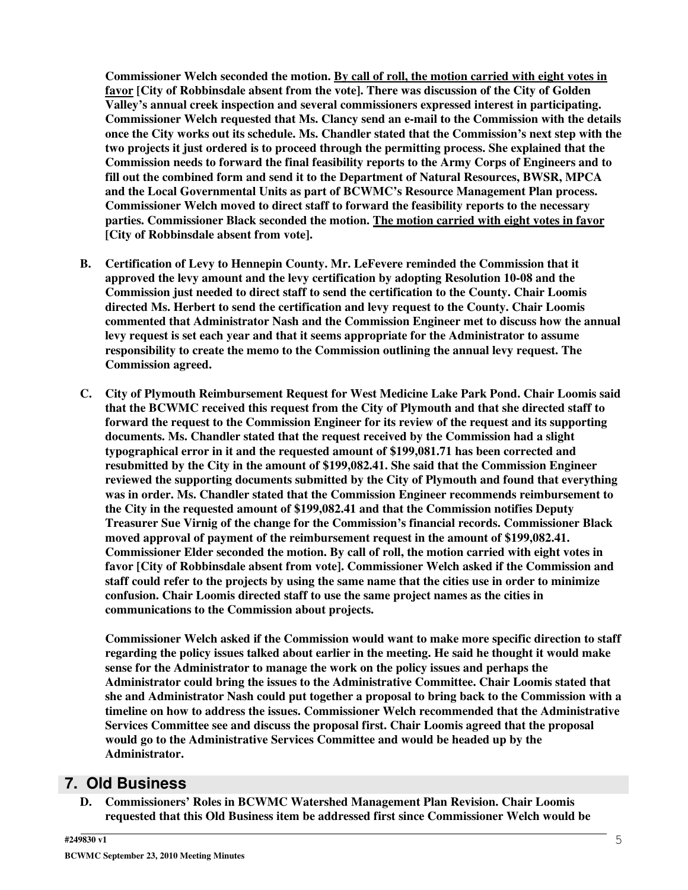**Commissioner Welch seconded the motion. By call of roll, the motion carried with eight votes in favor [City of Robbinsdale absent from the vote]. There was discussion of the City of Golden Valley's annual creek inspection and several commissioners expressed interest in participating. Commissioner Welch requested that Ms. Clancy send an e-mail to the Commission with the details once the City works out its schedule. Ms. Chandler stated that the Commission's next step with the two projects it just ordered is to proceed through the permitting process. She explained that the Commission needs to forward the final feasibility reports to the Army Corps of Engineers and to fill out the combined form and send it to the Department of Natural Resources, BWSR, MPCA and the Local Governmental Units as part of BCWMC's Resource Management Plan process. Commissioner Welch moved to direct staff to forward the feasibility reports to the necessary parties. Commissioner Black seconded the motion. The motion carried with eight votes in favor [City of Robbinsdale absent from vote].**

- **B. Certification of Levy to Hennepin County. Mr. LeFevere reminded the Commission that it approved the levy amount and the levy certification by adopting Resolution 10-08 and the Commission just needed to direct staff to send the certification to the County. Chair Loomis directed Ms. Herbert to send the certification and levy request to the County. Chair Loomis commented that Administrator Nash and the Commission Engineer met to discuss how the annual levy request is set each year and that it seems appropriate for the Administrator to assume responsibility to create the memo to the Commission outlining the annual levy request. The Commission agreed.**
- **C. City of Plymouth Reimbursement Request for West Medicine Lake Park Pond. Chair Loomis said that the BCWMC received this request from the City of Plymouth and that she directed staff to forward the request to the Commission Engineer for its review of the request and its supporting documents. Ms. Chandler stated that the request received by the Commission had a slight typographical error in it and the requested amount of \$199,081.71 has been corrected and resubmitted by the City in the amount of \$199,082.41. She said that the Commission Engineer reviewed the supporting documents submitted by the City of Plymouth and found that everything was in order. Ms. Chandler stated that the Commission Engineer recommends reimbursement to the City in the requested amount of \$199,082.41 and that the Commission notifies Deputy Treasurer Sue Virnig of the change for the Commission's financial records. Commissioner Black moved approval of payment of the reimbursement request in the amount of \$199,082.41. Commissioner Elder seconded the motion. By call of roll, the motion carried with eight votes in favor [City of Robbinsdale absent from vote]. Commissioner Welch asked if the Commission and** staff could refer to the projects by using the same name that the cities use in order to minimize **confusion. Chair Loomis directed staff to use the same project names as the cities in communications to the Commission about projects.**

**Commissioner Welch asked if the Commission would want to make more specific direction to staff regarding the policy issues talked about earlier in the meeting. He said he thought it would make sense for the Administrator to manage the work on the policy issues and perhaps the Administrator could bring the issues to the Administrative Committee. Chair Loomis stated that she and Administrator Nash could put together a proposal to bring back to the Commission with a timeline on how to address the issues. Commissioner Welch recommended that the Administrative Services Committee see and discuss the proposal first. Chair Loomis agreed that the proposal would go to the Administrative Services Committee and would be headed up by the Administrator.**

### **7. Old Business**

**D. Commissioners' Roles in BCWMC Watershed Management Plan Revision. Chair Loomis requested that this Old Business item be addressed first since Commissioner Welch would be**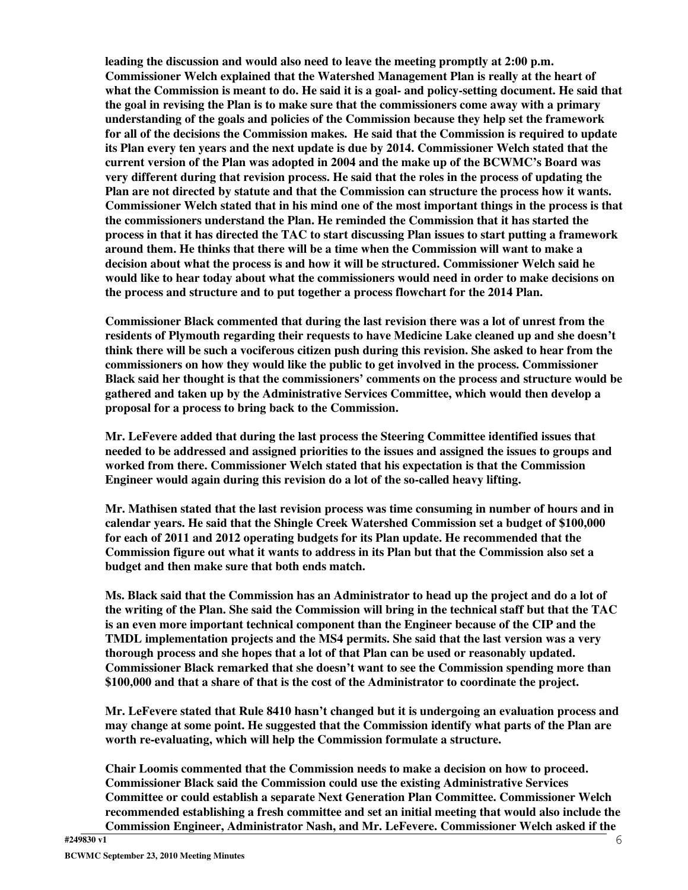**leading the discussion and would also need to leave the meeting promptly at 2:00 p.m. Commissioner Welch explained that the Watershed Management Plan is really at the heart of** what the Commission is meant to do. He said it is a goal- and policy-setting document. He said that **the goal in revising the Plan is to make sure that the commissioners come away with a primary understanding of the goals and policies of the Commission because they help set the framework for all of the decisions the Commission makes. He said that the Commission is required to update its Plan every ten years and the next update is due by 2014. Commissioner Welch stated that the current version of the Plan was adopted in 2004 and the make up of the BCWMC's Board was very different during that revision process. He said that the roles in the process of updating the Plan are not directed by statute and that the Commission can structure the process how it wants. Commissioner Welch stated that in his mind one of the most important things in the process is that the commissioners understand the Plan. He reminded the Commission that it has started the** process in that it has directed the TAC to start discussing Plan issues to start putting a framework **around them. He thinks that there will be a time when the Commission will want to make a decision about what the process is and how it will be structured. Commissioner Welch said he would like to hear today about what the commissioners would need in order to make decisions on the process and structure and to put together a process flowchart for the 2014 Plan.**

**Commissioner Black commented that during the last revision there was a lot of unrest from the residents of Plymouth regarding their requests to have Medicine Lake cleaned up and she doesn't** think there will be such a vociferous citizen push during this revision. She asked to hear from the **commissioners on how they would like the public to get involved in the process. Commissioner Black said her thought is that the commissioners' comments on the process and structure would be gathered and taken up by the Administrative Services Committee, which would then develop a proposal for a process to bring back to the Commission.**

**Mr. LeFevere added that during the last process the Steering Committee identified issues that needed to be addressed and assigned priorities to the issues and assigned the issues to groups and worked from there. Commissioner Welch stated that his expectation is that the Commission Engineer would again during this revision do a lot of the so-called heavy lifting.**

**Mr. Mathisen stated that the last revision process was time consuming in number of hours and in calendar years. He said that the Shingle Creek Watershed Commission set a budget of \$100,000 for each of 2011 and 2012 operating budgets for its Plan update. He recommended that the Commission figure out what it wants to address in its Plan but that the Commission also set a budget and then make sure that both ends match.**

Ms. Black said that the Commission has an Administrator to head up the project and do a lot of the writing of the Plan. She said the Commission will bring in the technical staff but that the TAC **is an even more important technical component than the Engineer because of the CIP and the TMDL implementation projects and the MS4 permits. She said that the last version was a very thorough process and she hopes that a lot of that Plan can be used or reasonably updated. Commissioner Black remarked that she doesn't want to see the Commission spending more than \$100,000 and that a share of that is the cost of the Administrator to coordinate the project.**

**Mr. LeFevere stated that Rule 8410 hasn't changed but it is undergoing an evaluation process and may change at some point. He suggested that the Commission identify what parts of the Plan are worth re-evaluating, which will help the Commission formulate a structure.**

**Chair Loomis commented that the Commission needs to make a decision on how to proceed. Commissioner Black said the Commission could use the existing Administrative Services Committee or could establish a separate Next Generation Plan Committee. Commissioner Welch recommended establishing a fresh committee and set an initial meeting that would also include the Commission Engineer, Administrator Nash, and Mr. LeFevere. Commissioner Welch asked if the**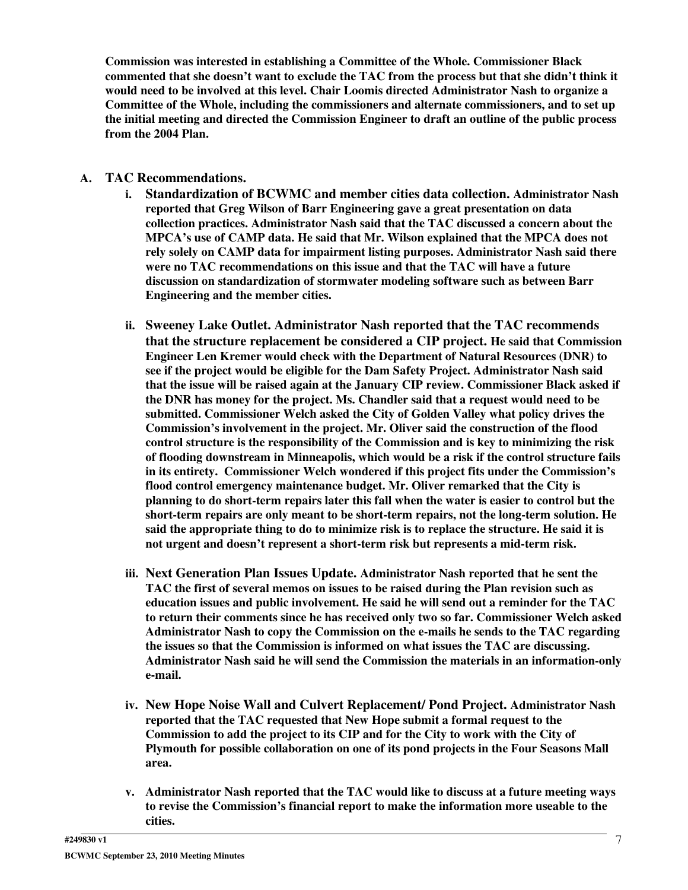**Commission was interested in establishing a Committee of the Whole. Commissioner Black commented that she doesn't want to exclude the TAC from the process but that she didn't think it would need to be involved at this level. Chair Loomis directed Administrator Nash to organize a Committee of the Whole, including the commissioners and alternate commissioners, and to set up the initial meeting and directed the Commission Engineer to draft an outline of the public process from the 2004 Plan.**

- **A. TAC Recommendations.**
	- **i. Standardization of BCWMC and member cities data collection. Administrator Nash reported that Greg Wilson of Barr Engineering gave a great presentation on data collection practices. Administrator Nash said that the TAC discussed a concern about the MPCA's use of CAMP data. He said that Mr. Wilson explained that the MPCA does not rely solely on CAMP data for impairment listing purposes. Administrator Nash said there were no TAC recommendations on this issue and that the TAC will have a future discussion on standardization of stormwater modeling software such as between Barr Engineering and the member cities.**
	- **ii. Sweeney Lake Outlet. Administrator Nash reported that the TAC recommends that the structure replacement be considered a CIP project. He said that Commission Engineer Len Kremer would check with the Department of Natural Resources (DNR) to see if the project would be eligible for the Dam Safety Project. Administrator Nash said that the issue will be raised again at the January CIP review. Commissioner Black asked if the DNR has money for the project. Ms. Chandler said that a request would need to be submitted. Commissioner Welch asked the City of Golden Valley what policy drives the Commission's involvement in the project. Mr. Oliver said the construction of the flood control structure is the responsibility of the Commission and is key to minimizing the risk of flooding downstream in Minneapolis, which would be a risk if the control structure fails in its entirety. Commissioner Welch wondered if this project fits under the Commission's flood control emergency maintenance budget. Mr. Oliver remarked that the City is planning to do short-term repairs later this fall when the water is easier to control but the short-term repairs are only meant to be short-term repairs, not the long-term solution. He said the appropriate thing to do to minimize risk is to replace the structure. He said it is not urgent and doesn't represent a short-term risk but represents a mid-term risk.**
	- **iii. Next Generation Plan Issues Update. Administrator Nash reported that he sent the TAC the first of several memos on issues to be raised during the Plan revision such as education issues and public involvement. He said he will send out a reminder for the TAC to return their comments since he has received only two so far. Commissioner Welch asked Administrator Nash to copy the Commission on the e-mails he sends to the TAC regarding the issues so that the Commission is informed on what issues the TAC are discussing. Administrator Nash said he will send the Commission the materials in an information-only e-mail.**
	- **iv. New Hope Noise Wall and Culvert Replacement/ Pond Project. Administrator Nash reported that the TAC requested that New Hope submit a formal request to the Commission to add the project to its CIP and for the City to work with the City of Plymouth for possible collaboration on one of its pond projects in the Four Seasons Mall area.**
	- **v. Administrator Nash reported that the TAC would like to discuss at a future meeting ways to revise the Commission's financial report to make the information more useable to the cities.**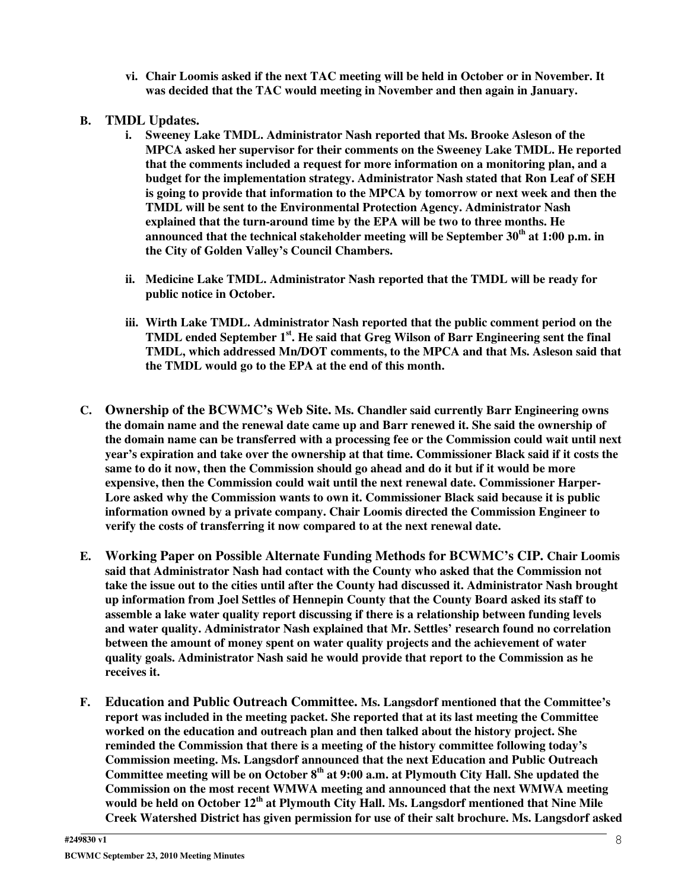- **vi. Chair Loomis asked if the next TAC meeting will be held in October or in November. It was decided that the TAC would meeting in November and then again in January.**
- **B. TMDL Updates.**
	- **i. Sweeney Lake TMDL. Administrator Nash reported that Ms. Brooke Asleson of the MPCA asked her supervisor for their comments on the Sweeney Lake TMDL. He reported that the comments included a request for more information on a monitoring plan, and a budget for the implementation strategy. Administrator Nash stated that Ron Leaf of SEH is going to provide that information to the MPCA by tomorrow or next week and then the TMDL will be sent to the Environmental Protection Agency. Administrator Nash explained that the turn-around time by the EPA will be two to three months. He announced that the technical stakeholder meeting will be September 30 th at 1:00 p.m. in the City of Golden Valley's Council Chambers.**
	- **ii. Medicine Lake TMDL. Administrator Nash reported that the TMDL will be ready for public notice in October.**
	- **iii. Wirth Lake TMDL. Administrator Nash reported that the public comment period on the TMDL ended September 1 st . He said that Greg Wilson of Barr Engineering sent the final TMDL, which addressed Mn/DOT comments, to the MPCA and that Ms. Asleson said that the TMDL would go to the EPA at the end of this month.**
- **C. Ownership of the BCWMC's Web Site. Ms. Chandler said currently Barr Engineering owns the domain name and the renewal date came up and Barr renewed it. She said the ownership of the domain name can be transferred with a processing fee or the Commission could wait until next year's expiration and take over the ownership at that time. Commissioner Black said if it costs the** same to do it now, then the Commission should go ahead and do it but if it would be more **expensive, then the Commission could wait until the next renewal date. Commissioner Harper-Lore asked why the Commission wants to own it. Commissioner Black said because it is public information owned by a private company. Chair Loomis directed the Commission Engineer to verify the costs of transferring it now compared to at the next renewal date.**
- **E. Working Paper on Possible Alternate Funding Methods for BCWMC's CIP. Chair Loomis said that Administrator Nash had contact with the County who asked that the Commission not take the issue out to the cities until after the County had discussed it. Administrator Nash brought up information from Joel Settles of Hennepin County that the County Board asked its staff to assemble a lake water quality report discussing if there is a relationship between funding levels and water quality. Administrator Nash explained that Mr. Settles' research found no correlation between the amount of money spent on water quality projects and the achievement of water quality goals. Administrator Nash said he would provide that report to the Commission as he receives it.**
- **F. Education and Public Outreach Committee. Ms. Langsdorf mentioned that the Committee's report was included in the meeting packet. She reported that at its last meeting the Committee worked on the education and outreach plan and then talked about the history project. She reminded the Commission that there is a meeting of the history committee following today's Commission meeting. Ms. Langsdorf announced that the next Education and Public Outreach Committee meeting will be on October 8 th at 9:00 a.m. at Plymouth City Hall. She updated the Commission on the most recent WMWA meeting and announced that the next WMWA meeting would be held on October 12 th at Plymouth City Hall. Ms. Langsdorf mentioned that Nine Mile Creek Watershed District has given permission for use of their salt brochure. Ms. Langsdorf asked**